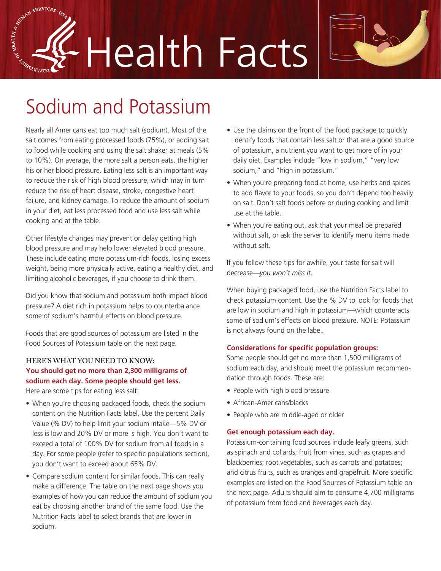SE BRAIN SERVICES. Health Facts



# Sodium and Potassium

Nearly all Americans eat too much salt (sodium). Most of the salt comes from eating processed foods (75%), or adding salt to food while cooking and using the salt shaker at meals (5% to 10%). On average, the more salt a person eats, the higher his or her blood pressure. Eating less salt is an important way to reduce the risk of high blood pressure, which may in turn reduce the risk of heart disease, stroke, congestive heart failure, and kidney damage. To reduce the amount of sodium in your diet, eat less processed food and use less salt while cooking and at the table.

Other lifestyle changes may prevent or delay getting high blood pressure and may help lower elevated blood pressure. These include eating more potassium-rich foods, losing excess weight, being more physically active, eating a healthy diet, and limiting alcoholic beverages, if you choose to drink them.

Did you know that sodium and potassium both impact blood pressure? A diet rich in potassium helps to counterbalance some of sodium's harmful effects on blood pressure.

Foods that are good sources of potassium are listed in the Food Sources of Potassium table on the next page.

## **HERE'S WHAT YOU NEED TO KNOW: You should get no more than 2,300 milligrams of sodium each day. Some people should get less.**

Here are some tips for eating less salt:

- When you're choosing packaged foods, check the sodium content on the Nutrition Facts label. Use the percent Daily Value (% DV) to help limit your sodium intake—5% DV or less is low and 20% DV or more is high. You don't want to exceed a total of 100% DV for sodium from all foods in a day. For some people (refer to specific populations section), you don't want to exceed about 65% DV.
- Compare sodium content for similar foods. This can really make a difference. The table on the next page shows you examples of how you can reduce the amount of sodium you eat by choosing another brand of the same food. Use the Nutrition Facts label to select brands that are lower in sodium.
- Use the claims on the front of the food package to quickly identify foods that contain less salt or that are a good source of potassium, a nutrient you want to get more of in your daily diet. Examples include "low in sodium," "very low sodium," and "high in potassium."
- When you're preparing food at home, use herbs and spices to add flavor to your foods, so you don't depend too heavily on salt. Don't salt foods before or during cooking and limit use at the table.
- When you're eating out, ask that your meal be prepared without salt, or ask the server to identify menu items made without salt.

If you follow these tips for awhile, your taste for salt will decrease—*you won't miss it*.

When buying packaged food, use the Nutrition Facts label to check potassium content. Use the % DV to look for foods that are low in sodium and high in potassium—which counteracts some of sodium's effects on blood pressure. NOTE: Potassium is not always found on the label.

#### **Considerations for specific population groups:**

Some people should get no more than 1,500 milligrams of sodium each day, and should meet the potassium recommendation through foods. These are:

- People with high blood pressure
- African-Americans/blacks
- People who are middle-aged or older

#### **Get enough potassium each day.**

Potassium-containing food sources include leafy greens, such as spinach and collards; fruit from vines, such as grapes and blackberries; root vegetables, such as carrots and potatoes; and citrus fruits, such as oranges and grapefruit. More specific examples are listed on the Food Sources of Potassium table on the next page. Adults should aim to consume 4,700 milligrams of potassium from food and beverages each day.